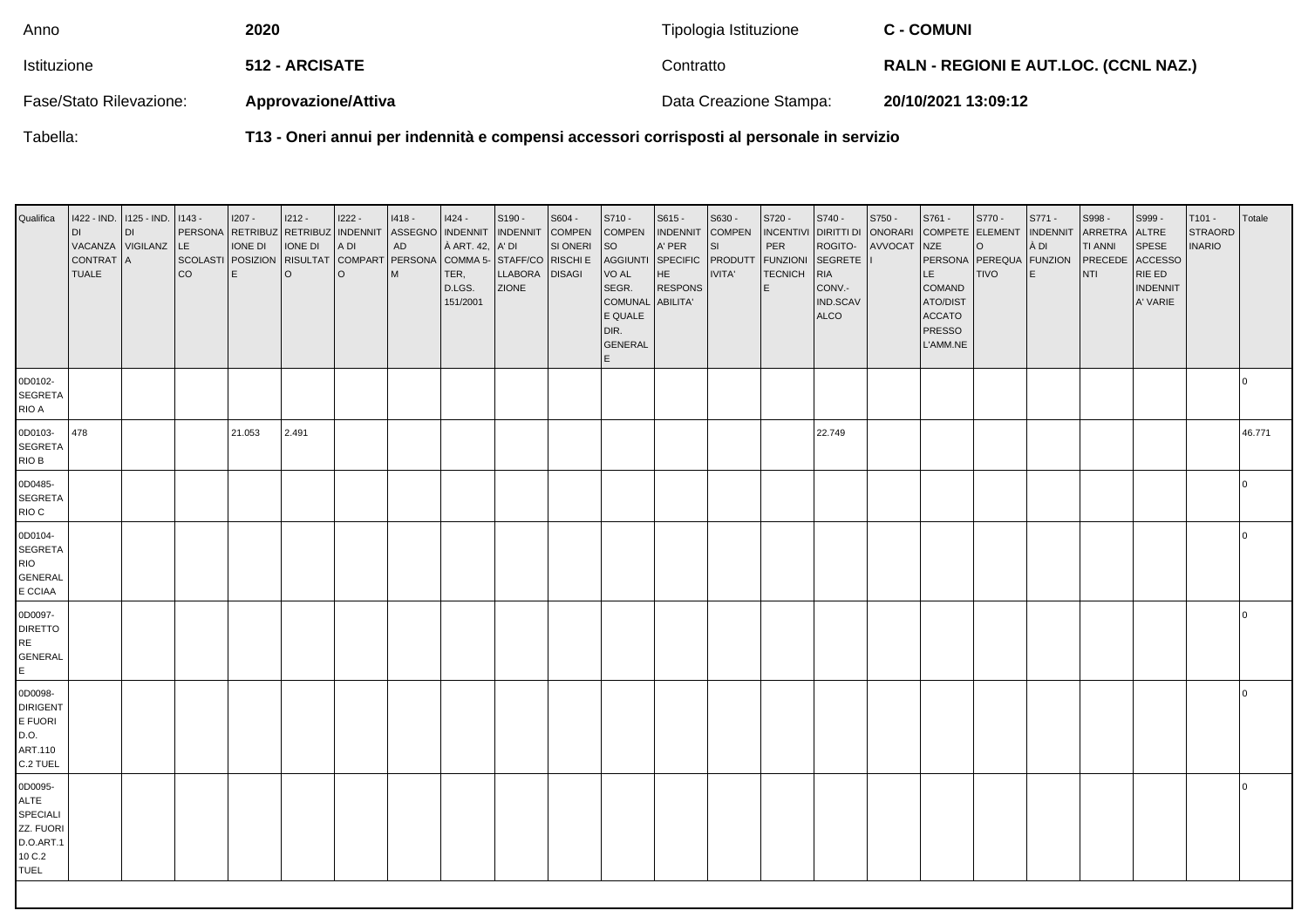| Anno                    | 2020                       | Tipologia Istituzione  | <b>C - COMUNI</b>                            |
|-------------------------|----------------------------|------------------------|----------------------------------------------|
| Istituzione             | <b>512 - ARCISATE</b>      | Contratto              | <b>RALN - REGIONI E AUT.LOC. (CCNL NAZ.)</b> |
| Fase/Stato Rilevazione: | <b>Approvazione/Attiva</b> | Data Creazione Stampa: | 20/10/2021 13:09:12                          |

Tabella:

**T13 - Oneri annui per indennità e compensi accessori corrisposti al personale in servizio**

| Qualifica                                                                             | 1422 - IND. 1125 - IND.<br>DI<br>VACANZA VIGILANZ<br><b>CONTRAT</b><br><b>TUALE</b> | <b>DI</b><br>ΙA | $1143 -$<br>LE.<br>SCOLASTI POSIZION<br>co | $1207 -$<br>IONE DI<br>E | $1212 -$<br>IONE DI<br>$\circ$ | 1222 -<br>A DI<br>l o | 1418 -<br>PERSONA RETRIBUZ RETRIBUZ INDENNIT ASSEGNO INDENNIT<br>${\sf AD}$<br>RISULTAT COMPART PERSONA COMMA 5-<br>l M | 1424 -<br>À ART. 42,<br>TER,<br>D.LGS.<br>151/2001 | S190 -<br><b>INDENNIT</b><br>A' DI<br>STAFF/CO RISCHI E<br>LLABORA<br><b>ZIONE</b> | S604 -<br><b>COMPEN</b><br>SI ONERI<br><b>DISAGI</b> | S710 -<br><b>COMPEN</b><br><b>SO</b><br><b>AGGIUNTI</b><br>VO AL<br>SEGR.<br><b>COMUNAL</b><br>E QUALE<br>DIR.<br><b>GENERAL</b><br>E | $S615 -$<br><b>INDENNIT</b><br>A' PER<br>SPECIFIC<br>HE<br><b>RESPONS</b><br><b>ABILITA'</b> | S630 -<br><b>COMPEN</b><br>SI<br>PRODUTT<br>IVITA' | S720 -<br><b>INCENTIVI</b><br>$\ensuremath{\mathsf{PER}}$<br><b>FUNZIONI</b><br><b>TECNICH</b><br>E. | S740 -<br>DIRITTI DI ONORARI<br>ROGITO-<br>SEGRETE<br><b>RIA</b><br>CONV.-<br>IND.SCAV<br><b>ALCO</b> | S750 -<br>AVVOCAT | S761 -<br>NZE<br>LE.<br><b>COMAND</b><br>ATO/DIST<br><b>ACCATO</b><br><b>PRESSO</b><br>L'AMM.NE | S770 -<br>COMPETE ELEMENT   INDENNIT<br>$\circ$<br>PERSONA PEREQUA FUNZION<br><b>TIVO</b> | S771 -<br>À DI<br>E | S998-<br><b>ARRETRA</b><br><b>TI ANNI</b><br>PRECEDE<br>NTI | S999 -<br>ALTRE<br>SPESE<br><b>ACCESSO</b><br>RIE ED<br><b>INDENNIT</b><br>A' VARIE | T101 -<br><b>STRAORD</b><br><b>INARIO</b> | Totale         |
|---------------------------------------------------------------------------------------|-------------------------------------------------------------------------------------|-----------------|--------------------------------------------|--------------------------|--------------------------------|-----------------------|-------------------------------------------------------------------------------------------------------------------------|----------------------------------------------------|------------------------------------------------------------------------------------|------------------------------------------------------|---------------------------------------------------------------------------------------------------------------------------------------|----------------------------------------------------------------------------------------------|----------------------------------------------------|------------------------------------------------------------------------------------------------------|-------------------------------------------------------------------------------------------------------|-------------------|-------------------------------------------------------------------------------------------------|-------------------------------------------------------------------------------------------|---------------------|-------------------------------------------------------------|-------------------------------------------------------------------------------------|-------------------------------------------|----------------|
| 0D0102-<br><b>SEGRETA</b><br>RIO A                                                    |                                                                                     |                 |                                            |                          |                                |                       |                                                                                                                         |                                                    |                                                                                    |                                                      |                                                                                                                                       |                                                                                              |                                                    |                                                                                                      |                                                                                                       |                   |                                                                                                 |                                                                                           |                     |                                                             |                                                                                     |                                           | 0              |
| 0D0103-<br><b>SEGRETA</b><br>RIO B                                                    | 478                                                                                 |                 |                                            | 21.053                   | 2.491                          |                       |                                                                                                                         |                                                    |                                                                                    |                                                      |                                                                                                                                       |                                                                                              |                                                    |                                                                                                      | 22.749                                                                                                |                   |                                                                                                 |                                                                                           |                     |                                                             |                                                                                     |                                           | 46.771         |
| 0D0485-<br><b>SEGRETA</b><br>RIO C                                                    |                                                                                     |                 |                                            |                          |                                |                       |                                                                                                                         |                                                    |                                                                                    |                                                      |                                                                                                                                       |                                                                                              |                                                    |                                                                                                      |                                                                                                       |                   |                                                                                                 |                                                                                           |                     |                                                             |                                                                                     |                                           | $\overline{0}$ |
| 0D0104-<br><b>SEGRETA</b><br><b>RIO</b><br><b>GENERAL</b><br>E CCIAA                  |                                                                                     |                 |                                            |                          |                                |                       |                                                                                                                         |                                                    |                                                                                    |                                                      |                                                                                                                                       |                                                                                              |                                                    |                                                                                                      |                                                                                                       |                   |                                                                                                 |                                                                                           |                     |                                                             |                                                                                     |                                           | 0              |
| 0D0097-<br><b>DIRETTO</b><br>RE<br><b>GENERAL</b><br>E                                |                                                                                     |                 |                                            |                          |                                |                       |                                                                                                                         |                                                    |                                                                                    |                                                      |                                                                                                                                       |                                                                                              |                                                    |                                                                                                      |                                                                                                       |                   |                                                                                                 |                                                                                           |                     |                                                             |                                                                                     |                                           | 0              |
| 0D0098-<br><b>DIRIGENT</b><br>E FUORI<br>D.O.<br>ART.110<br>C.2 TUEL                  |                                                                                     |                 |                                            |                          |                                |                       |                                                                                                                         |                                                    |                                                                                    |                                                      |                                                                                                                                       |                                                                                              |                                                    |                                                                                                      |                                                                                                       |                   |                                                                                                 |                                                                                           |                     |                                                             |                                                                                     |                                           | $\overline{0}$ |
| 0D0095-<br><b>ALTE</b><br>SPECIALI<br>ZZ. FUORI<br>D.O.ART.1<br>10 C.2<br><b>TUEL</b> |                                                                                     |                 |                                            |                          |                                |                       |                                                                                                                         |                                                    |                                                                                    |                                                      |                                                                                                                                       |                                                                                              |                                                    |                                                                                                      |                                                                                                       |                   |                                                                                                 |                                                                                           |                     |                                                             |                                                                                     |                                           | $\Omega$       |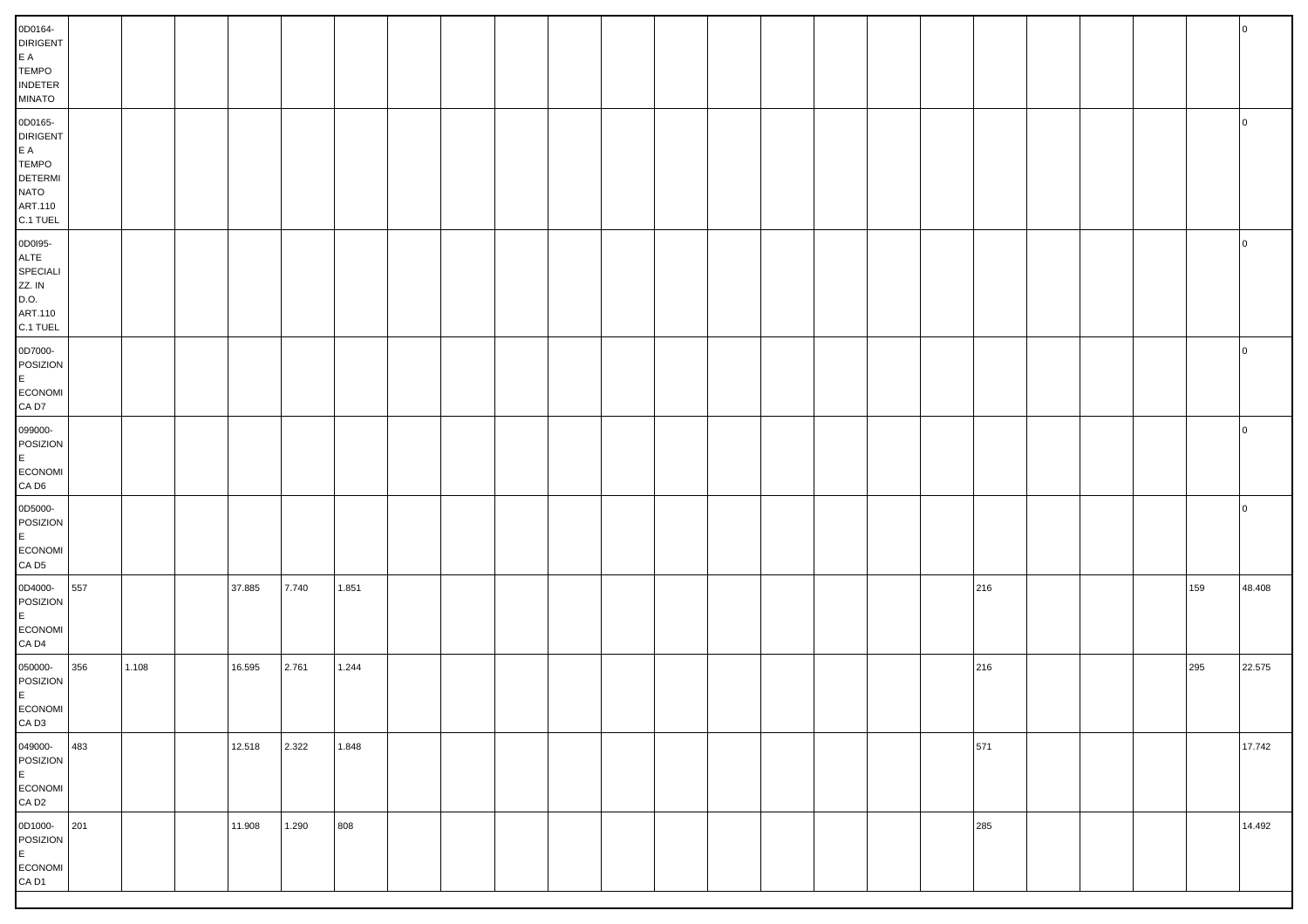| 0D0164-<br><b>DIRIGENT</b><br>$\mathsf{E}\hspace{0.1cm}\mathsf{A}$<br><b>TEMPO</b><br>$\sf INDETER$<br>MINATO                              |     |       |        |       |       |  |  |  |  |  |     |  |     |                |
|--------------------------------------------------------------------------------------------------------------------------------------------|-----|-------|--------|-------|-------|--|--|--|--|--|-----|--|-----|----------------|
| 0D0165-<br><b>DIRIGENT</b><br>$\mathsf{E}\hspace{0.1cm}\mathsf{A}$<br><b>TEMPO</b><br><b>DETERMI</b><br><b>NATO</b><br>ART.110<br>C.1 TUEL |     |       |        |       |       |  |  |  |  |  |     |  |     | <b>0</b>       |
| 0D0195-<br>ALTE<br>SPECIALI<br>ZZ. IN<br>D.O.<br>ART.110<br>C.1 TUEL                                                                       |     |       |        |       |       |  |  |  |  |  |     |  |     | $\overline{0}$ |
| 0D7000-<br>POSIZION<br>E<br>ECONOMI<br>CA D7                                                                                               |     |       |        |       |       |  |  |  |  |  |     |  |     | 0              |
| 099000-<br>POSIZION<br>E<br>ECONOMI<br>$CA$ D <sub>6</sub>                                                                                 |     |       |        |       |       |  |  |  |  |  |     |  |     | 0              |
| 0D5000-<br>POSIZION<br>E<br>ECONOMI<br>CA D <sub>5</sub>                                                                                   |     |       |        |       |       |  |  |  |  |  |     |  |     | l O            |
| 0D4000-<br>POSIZION<br>E<br>ECONOMI<br>CA D <sub>4</sub>                                                                                   | 557 |       | 37.885 | 7.740 | 1.851 |  |  |  |  |  | 216 |  | 159 | 48.408         |
| 050000-<br>POSIZION<br>E<br>ECONOMI<br>$\mathsf{CA}\ \mathsf{D3}$                                                                          | 356 | 1.108 | 16.595 | 2.761 | 1.244 |  |  |  |  |  | 216 |  | 295 | 22.575         |
| 049000-<br>POSIZION<br>E<br>ECONOMI<br>CA D2                                                                                               | 483 |       | 12.518 | 2.322 | 1.848 |  |  |  |  |  | 571 |  |     | 17.742         |
| 0D1000-201<br>POSIZION<br>E<br>ECONOMI<br>CA D1                                                                                            |     |       | 11.908 | 1.290 | 808   |  |  |  |  |  | 285 |  |     | 14.492         |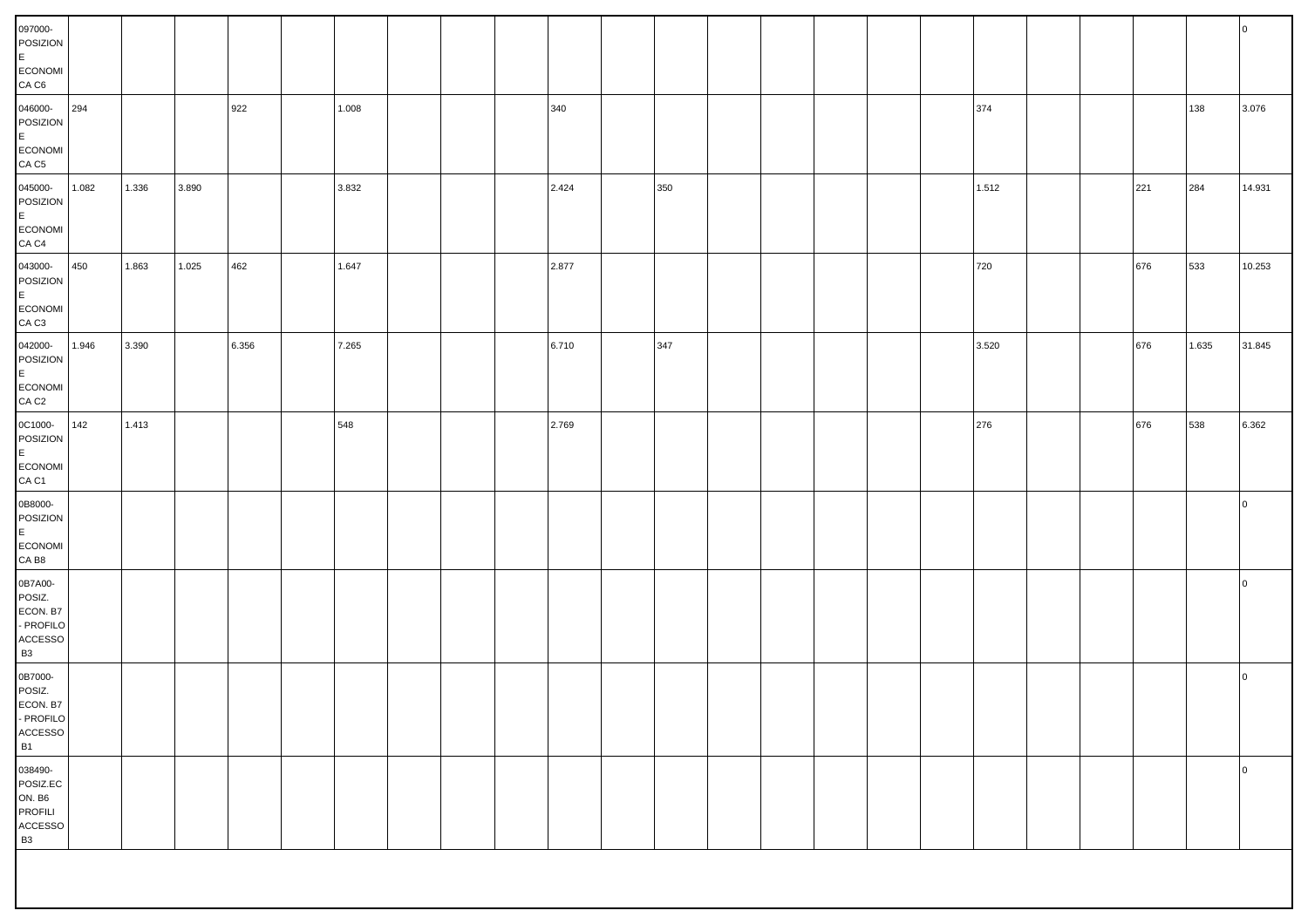| 097000-<br>POSIZION<br>E.<br>ECONOMI<br>CA C6                                      |       |       |       |       |       |  |       |     |  |  |       |  |     |       | $\overline{0}$ |
|------------------------------------------------------------------------------------|-------|-------|-------|-------|-------|--|-------|-----|--|--|-------|--|-----|-------|----------------|
| 046000-<br>POSIZION<br>E.<br>ECONOMI<br>CA <sub>C5</sub>                           | 294   |       |       | 922   | 1.008 |  | 340   |     |  |  | 374   |  |     | 138   | 3.076          |
| 045000-<br>POSIZION<br>E.<br>ECONOMI<br>CA <sub>C4</sub>                           | 1.082 | 1.336 | 3.890 |       | 3.832 |  | 2.424 | 350 |  |  | 1.512 |  | 221 | 284   | 14.931         |
| 043000-<br>POSIZION<br>E<br>ECONOMI<br>CA <sub>C3</sub>                            | 450   | 1.863 | 1.025 | 462   | 1.647 |  | 2.877 |     |  |  | 720   |  | 676 | 533   | 10.253         |
| 042000-<br>POSIZION<br>E<br>ECONOMI<br>CA <sub>C2</sub>                            | 1.946 | 3.390 |       | 6.356 | 7.265 |  | 6.710 | 347 |  |  | 3.520 |  | 676 | 1.635 | 31.845         |
| 0C1000-<br>POSIZION<br>E.<br>ECONOMI<br>CA C1                                      | 142   | 1.413 |       |       | 548   |  | 2.769 |     |  |  | 276   |  | 676 | 538   | 6.362          |
| 0B8000-<br>POSIZION<br>E<br>ECONOMI<br>CA B8                                       |       |       |       |       |       |  |       |     |  |  |       |  |     |       | $\overline{0}$ |
| 0B7A00-<br>POSIZ.<br>ECON. B7<br>- PROFILO<br>$\mathsf{ACCESSO}$<br><b>B3</b>      |       |       |       |       |       |  |       |     |  |  |       |  |     |       | $\overline{0}$ |
| 0B7000-<br>POSIZ.<br>ECON. B7<br>- PROFILO<br>$\mathsf{ACCESSO}$<br><b>B1</b>      |       |       |       |       |       |  |       |     |  |  |       |  |     |       | $\overline{0}$ |
| 038490-<br>POSIZ.EC<br>ON. B6<br><b>PROFILI</b><br>$\mathsf{ACCESSO}$<br><b>B3</b> |       |       |       |       |       |  |       |     |  |  |       |  |     |       | $\overline{0}$ |
|                                                                                    |       |       |       |       |       |  |       |     |  |  |       |  |     |       |                |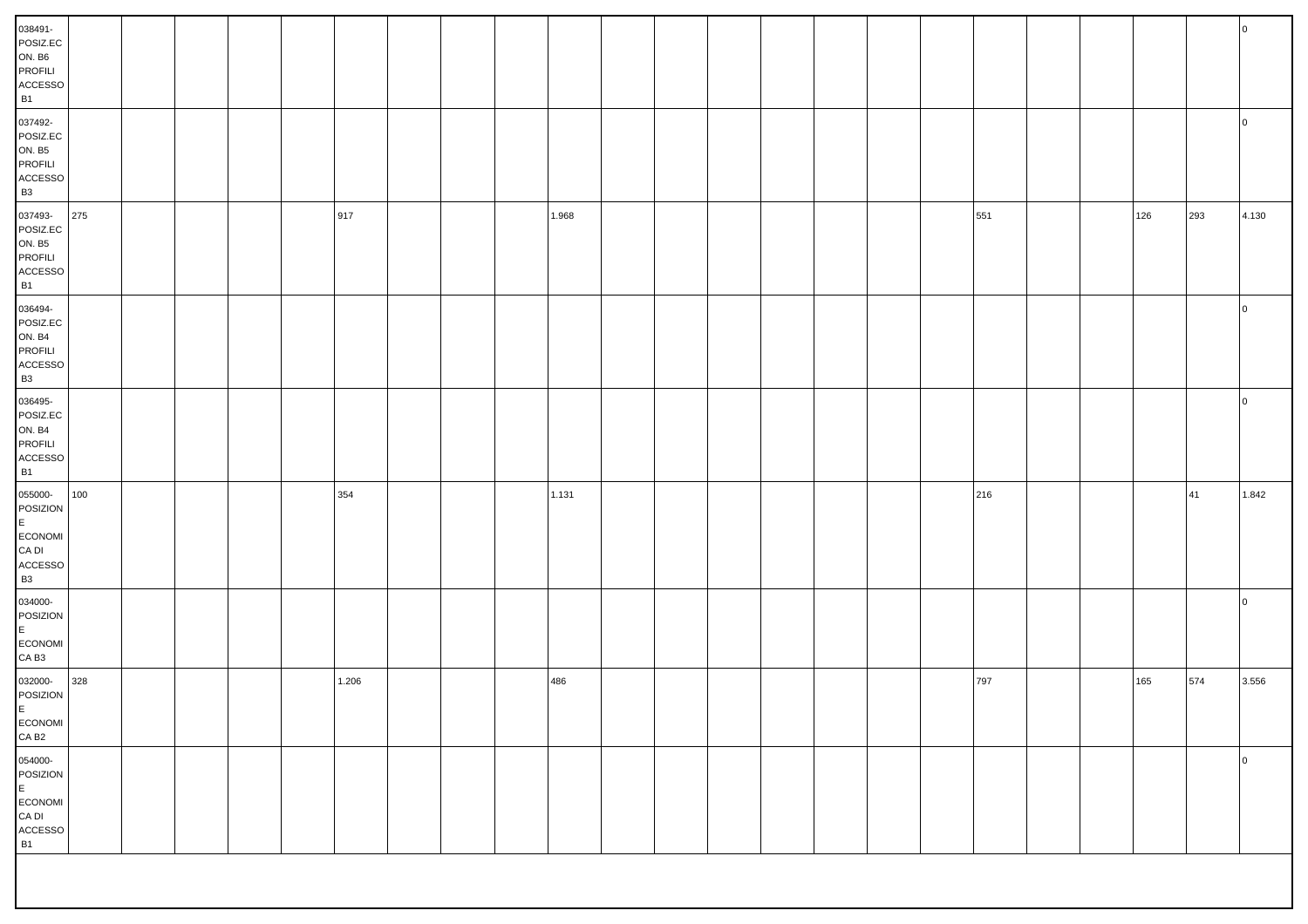| 038491-<br>POSIZ.EC<br><b>ON. B6</b><br>PROFILI<br>$\mathsf{ACCESSO}$<br><b>B1</b> |     |  |  |       |  |       |  |  |  |     |  |     |     | <b>O</b>       |
|------------------------------------------------------------------------------------|-----|--|--|-------|--|-------|--|--|--|-----|--|-----|-----|----------------|
| 037492-<br>POSIZ.EC<br><b>ON. B5</b><br>PROFILI<br>$\mathsf{ACCESSO}$<br><b>B3</b> |     |  |  |       |  |       |  |  |  |     |  |     |     | $\overline{0}$ |
| 037493-<br>POSIZ.EC<br><b>ON. B5</b><br>PROFILI<br>$\mathsf{ACCESSO}$<br><b>B1</b> | 275 |  |  | 917   |  | 1.968 |  |  |  | 551 |  | 126 | 293 | 4.130          |
| 036494-<br>POSIZ.EC<br><b>ON. B4</b><br>PROFILI<br>$\mathsf{ACCESSO}$<br><b>B3</b> |     |  |  |       |  |       |  |  |  |     |  |     |     | $\overline{0}$ |
| 036495-<br>POSIZ.EC<br><b>ON. B4</b><br>PROFILI<br>${\sf ACCESSO}$<br><b>B1</b>    |     |  |  |       |  |       |  |  |  |     |  |     |     | $\overline{0}$ |
| 055000-<br>POSIZION<br>E<br>ECONOMI<br>CA DI<br>ACCESSO<br><b>B3</b>               | 100 |  |  | 354   |  | 1.131 |  |  |  | 216 |  |     | 41  | 1.842          |
| 034000-<br>POSIZION<br>E.<br>ECONOMI<br>CA B <sub>3</sub>                          |     |  |  |       |  |       |  |  |  |     |  |     |     | $\overline{0}$ |
| 032000-<br>POSIZION<br>E<br>ECONOMI<br>CA B <sub>2</sub>                           | 328 |  |  | 1.206 |  | 486   |  |  |  | 797 |  | 165 | 574 | 3.556          |
| 054000-<br>POSIZION<br>$\mathsf E$<br>ECONOMI<br>${\sf CA}$ DI<br>ACCESSO<br>B1    |     |  |  |       |  |       |  |  |  |     |  |     |     | $\overline{0}$ |
|                                                                                    |     |  |  |       |  |       |  |  |  |     |  |     |     |                |